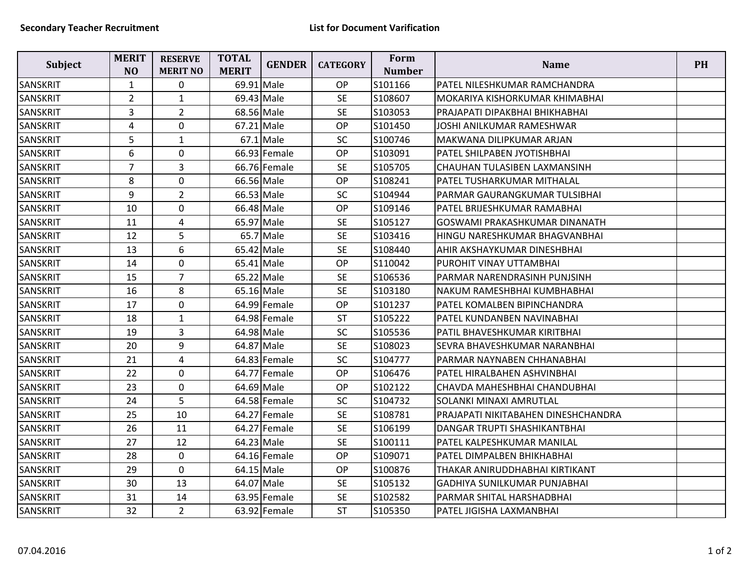| Subject         | <b>MERIT</b><br>N <sub>O</sub> | <b>RESERVE</b><br><b>MERIT NO</b> | <b>TOTAL</b><br><b>MERIT</b> | <b>GENDER</b> | <b>CATEGORY</b> | Form<br><b>Number</b> | <b>Name</b>                         | <b>PH</b> |
|-----------------|--------------------------------|-----------------------------------|------------------------------|---------------|-----------------|-----------------------|-------------------------------------|-----------|
| SANSKRIT        | $\mathbf{1}$                   | $\mathbf 0$                       | 69.91 Male                   |               | <b>OP</b>       | S101166               | PATEL NILESHKUMAR RAMCHANDRA        |           |
| <b>SANSKRIT</b> | $\overline{2}$                 | $\mathbf{1}$                      | 69.43 Male                   |               | <b>SE</b>       | S108607               | MOKARIYA KISHORKUMAR KHIMABHAI      |           |
| SANSKRIT        | 3                              | $\overline{2}$                    | 68.56 Male                   |               | <b>SE</b>       | S103053               | PRAJAPATI DIPAKBHAI BHIKHABHAI      |           |
| <b>SANSKRIT</b> | 4                              | $\mathbf 0$                       | 67.21 Male                   |               | OP              | S101450               | JOSHI ANILKUMAR RAMESHWAR           |           |
| SANSKRIT        | 5                              | $\mathbf{1}$                      |                              | $67.1$ Male   | SC              | S100746               | MAKWANA DILIPKUMAR ARJAN            |           |
| SANSKRIT        | 6                              | $\pmb{0}$                         |                              | 66.93 Female  | <b>OP</b>       | S103091               | PATEL SHILPABEN JYOTISHBHAI         |           |
| <b>SANSKRIT</b> | $\overline{7}$                 | 3                                 |                              | 66.76 Female  | <b>SE</b>       | S105705               | CHAUHAN TULASIBEN LAXMANSINH        |           |
| SANSKRIT        | 8                              | $\mathbf 0$                       | 66.56 Male                   |               | OP              | S108241               | PATEL TUSHARKUMAR MITHALAL          |           |
| SANSKRIT        | 9                              | $\overline{2}$                    | 66.53 Male                   |               | <b>SC</b>       | S104944               | PARMAR GAURANGKUMAR TULSIBHAI       |           |
| <b>SANSKRIT</b> | 10                             | $\mathbf 0$                       | 66.48 Male                   |               | OP              | S109146               | PATEL BRIJESHKUMAR RAMABHAI         |           |
| <b>SANSKRIT</b> | 11                             | $\overline{4}$                    | 65.97 Male                   |               | <b>SE</b>       | S105127               | GOSWAMI PRAKASHKUMAR DINANATH       |           |
| SANSKRIT        | 12                             | 5                                 |                              | 65.7 Male     | <b>SE</b>       | S103416               | HINGU NARESHKUMAR BHAGVANBHAI       |           |
| SANSKRIT        | 13                             | 6                                 | 65.42 Male                   |               | <b>SE</b>       | S108440               | AHIR AKSHAYKUMAR DINESHBHAI         |           |
| <b>SANSKRIT</b> | 14                             | $\pmb{0}$                         | 65.41 Male                   |               | <b>OP</b>       | S110042               | PUROHIT VINAY UTTAMBHAI             |           |
| <b>SANSKRIT</b> | 15                             | $\overline{7}$                    | 65.22 Male                   |               | <b>SE</b>       | S106536               | PARMAR NARENDRASINH PUNJSINH        |           |
| SANSKRIT        | 16                             | 8                                 | 65.16 Male                   |               | <b>SE</b>       | S103180               | NAKUM RAMESHBHAI KUMBHABHAI         |           |
| SANSKRIT        | 17                             | $\mathbf 0$                       |                              | 64.99 Female  | OP              | S101237               | PATEL KOMALBEN BIPINCHANDRA         |           |
| <b>SANSKRIT</b> | 18                             | $\mathbf{1}$                      |                              | 64.98 Female  | <b>ST</b>       | S105222               | PATEL KUNDANBEN NAVINABHAI          |           |
| <b>SANSKRIT</b> | 19                             | $\overline{3}$                    | 64.98 Male                   |               | SC              | S105536               | PATIL BHAVESHKUMAR KIRITBHAI        |           |
| SANSKRIT        | 20                             | 9                                 | 64.87 Male                   |               | <b>SE</b>       | S108023               | SEVRA BHAVESHKUMAR NARANBHAI        |           |
| SANSKRIT        | 21                             | $\overline{4}$                    |                              | 64.83 Female  | SC              | S104777               | PARMAR NAYNABEN CHHANABHAI          |           |
| SANSKRIT        | 22                             | $\mathbf{0}$                      |                              | 64.77 Female  | OP              | S106476               | PATEL HIRALBAHEN ASHVINBHAI         |           |
| SANSKRIT        | 23                             | $\mathbf 0$                       | 64.69 Male                   |               | <b>OP</b>       | S102122               | CHAVDA MAHESHBHAI CHANDUBHAI        |           |
| <b>SANSKRIT</b> | 24                             | 5                                 |                              | 64.58 Female  | <b>SC</b>       | S104732               | <b>SOLANKI MINAXI AMRUTLAL</b>      |           |
| SANSKRIT        | 25                             | 10                                |                              | 64.27 Female  | <b>SE</b>       | S108781               | PRAJAPATI NIKITABAHEN DINESHCHANDRA |           |
| SANSKRIT        | 26                             | 11                                |                              | 64.27 Female  | <b>SE</b>       | S106199               | DANGAR TRUPTI SHASHIKANTBHAI        |           |
| SANSKRIT        | 27                             | 12                                | 64.23 Male                   |               | <b>SE</b>       | S100111               | PATEL KALPESHKUMAR MANILAL          |           |
| <b>SANSKRIT</b> | 28                             | $\mathbf 0$                       |                              | 64.16 Female  | OP              | S109071               | PATEL DIMPALBEN BHIKHABHAI          |           |
| SANSKRIT        | 29                             | $\mathbf 0$                       | 64.15 Male                   |               | <b>OP</b>       | S100876               | THAKAR ANIRUDDHABHAI KIRTIKANT      |           |
| SANSKRIT        | 30                             | 13                                | 64.07 Male                   |               | <b>SE</b>       | S105132               | <b>GADHIYA SUNILKUMAR PUNJABHAI</b> |           |
| <b>SANSKRIT</b> | 31                             | 14                                |                              | 63.95 Female  | <b>SE</b>       | S102582               | PARMAR SHITAL HARSHADBHAI           |           |
| <b>SANSKRIT</b> | 32                             | $\overline{2}$                    |                              | 63.92 Female  | <b>ST</b>       | S105350               | PATEL JIGISHA LAXMANBHAI            |           |